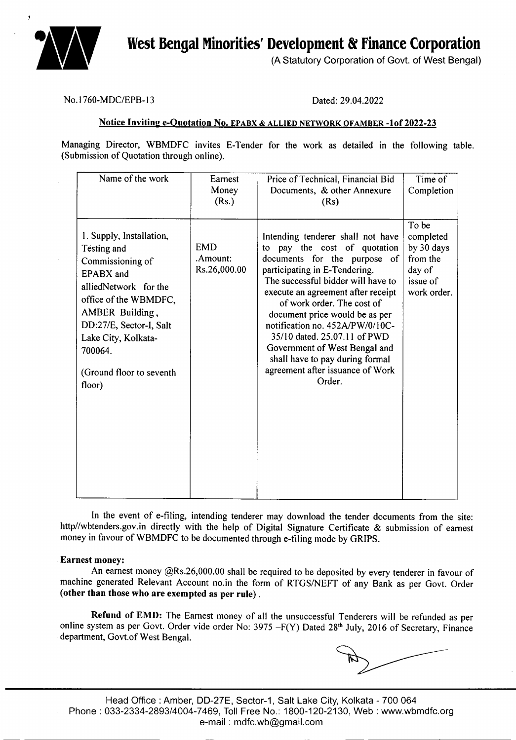

(A Statutory Corporation of Govt. of West Bengal)

#### No.I760-MDC/EPB-13 Dated: 29.04.2022

#### Notice Inviting e-Quotation No. EPABX & ALLIED NETWORK OFAMBER -1 of 2022-23

Managing Director, WBMDFC invites E-Tender for the work as detailed in the following table. (Submission of Quotation through online).

| Name of the work                                                                                                                                                                                                                                               | Earnest<br>Money<br>(Rs.) | Price of Technical, Financial Bid<br>Documents, & other Annexure<br>(Rs)                                                                                                                                                                                                                                                                                                                                                                                            | Time of<br>Completion                                                             |
|----------------------------------------------------------------------------------------------------------------------------------------------------------------------------------------------------------------------------------------------------------------|---------------------------|---------------------------------------------------------------------------------------------------------------------------------------------------------------------------------------------------------------------------------------------------------------------------------------------------------------------------------------------------------------------------------------------------------------------------------------------------------------------|-----------------------------------------------------------------------------------|
| 1. Supply, Installation,<br><b>EMD</b><br>Testing and<br>Commissioning of<br>EPABX and<br>alliedNetwork for the<br>office of the WBMDFC,<br>AMBER Building,<br>DD:27/E, Sector-I, Salt<br>Lake City, Kolkata-<br>700064.<br>(Ground floor to seventh<br>floor) | .Amount:<br>Rs.26,000.00  | Intending tenderer shall not have<br>to pay the cost of quotation<br>documents for the purpose of<br>participating in E-Tendering.<br>The successful bidder will have to<br>execute an agreement after receipt<br>of work order. The cost of<br>document price would be as per<br>notification no. 452A/PW/0/10C-<br>35/10 dated. 25.07.11 of PWD<br>Government of West Bengal and<br>shall have to pay during formal<br>agreement after issuance of Work<br>Order. | To be<br>completed<br>by 30 days<br>from the<br>day of<br>issue of<br>work order. |

In the event of e-filing, intending tenderer may download the tender documents from the site: http//wbtenders.gov.in directly with the help of Digital Signature Certificate & submission of earnest money in favour of WBMDFC to be documented through e-filing mode by GRIPS.

#### Earnest money:

An earnest money @Rs.26,000.00 shall be required to be deposited by every tenderer in favour of machine generated Relevant Account no.in the form of RTGS/NEFT of any Bank as per Govt. Order (other than those who are exempted as per rule) .

Refund of EMD: The Earnest money of all the unsuccessful Tenderers will be refunded as per online system as per Govt. Order vide order No: 3975 -F(Y) Dated 28<sup>th</sup> July, 2016 of Secretary, Finance department, Govt.of West Bengal.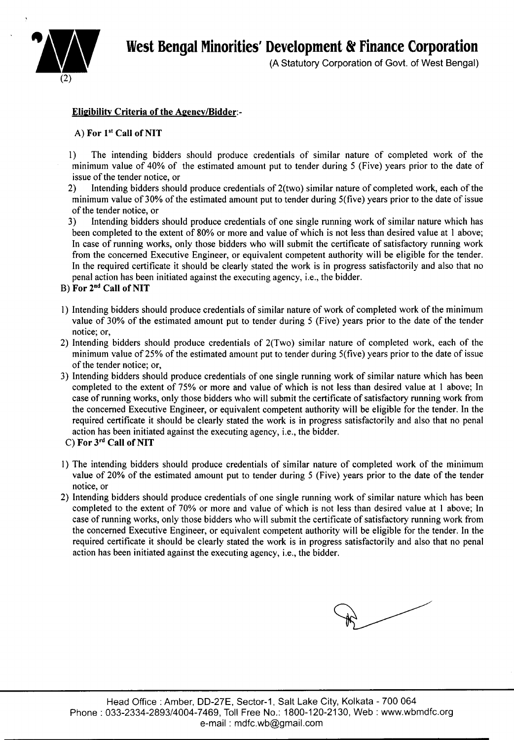

(A Statutory Corporation of Govt. of West Bengal)

# Eligibility Criteria of the Agency/Bidder:-

#### A) For 1<sup>st</sup> Call of NIT

- I) The intending bidders should produce credentials of similar nature of completed work of the minimum value of 40% of the estimated amount put to tender during 5 (Five) years prior to the date of issue of the tender notice, or
- 2) Intending bidders should produce credentials of 2(two) similar nature of completed work, each of the minimum value of 30% of the estimated amount put to tender during 5(five) years prior to the date of issue of the tender notice, or
- 3) Intending bidders should produce credentials of one single running work of similar nature which has been completed to the extent of 80% or more and value of which is not less than desired value at I above; In case of running works, only those bidders who will submit the certificate of satisfactory running work from the concerned Executive Engineer, or equivalent competent authority will be eligible for the tender. In the required certificate it should be clearly stated the work is in progress satisfactorily and also that no penal action has been initiated against the executing agency, i.e., the bidder.
- B) For 2nd Call of NIT
- I) Intending bidders should produce credentials of similar nature of work of completed work of the minimum value of 30% of the estimated amount put to tender during 5 (Five) years prior to the date of the tender notice; or,
- 2) Intending bidders should produce credentials of 2(Two) similar nature of completed work, each of the minimum value of25% of the estimated amount put to tender during 5(five) years prior to the date of issue of the tender notice; or,
- 3) Intending bidders should produce credentials of one single running work of similar nature which has been completed to the extent of 75% or more and value of which is not less than desired value at I above; In case of running works, only those bidders who will submit the certificate of satisfactory running work from the concerned Executive Engineer, or equivalent competent authority will be eligible for the tender. In the required certificate it should be clearly stated the work is in progress satisfactorily and also that no penal action has been initiated against the executing agency, i.e., the bidder.
- C) For 3rd Call of NIT
- I) The intending bidders should produce credentials of similar nature of completed work of the minimum value of 20% of the estimated amount put to tender during 5 (Five) years prior to the date of the tender notice, or
- 2) Intending bidders should produce credentials of one single running work of similar nature which has been completed to the extent of 70% or more and value of which is not less than desired value at I above; In case of running works, only those bidders who will submit the certificate of satisfactory running work from the concerned Executive Engineer, or equivalent competent authority will be eligible for the tender. In the required certificate it should be clearly stated the work is in progress satisfactorily and also that no penal action has been initiated against the executing agency, i.e., the bidder.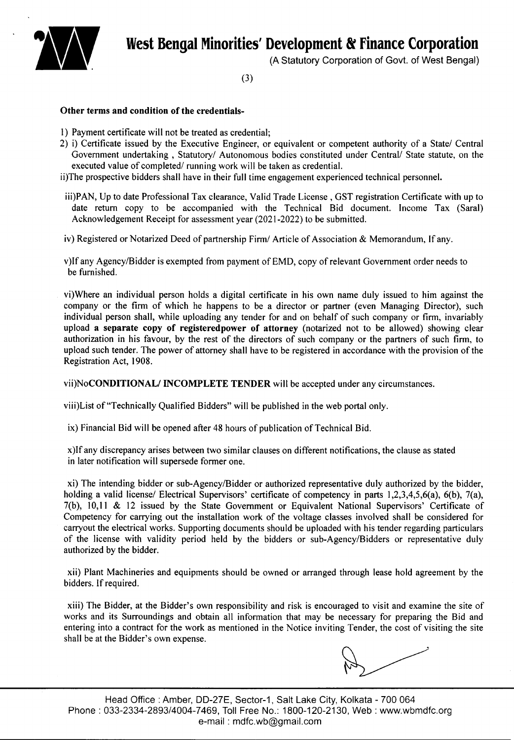

(A Statutory Corporation of Govt. of West Bengal)

(3)

#### Other terms and condition of the credentials-

- 1) Payment certificate will not be treated as credential;
- 2) i) Certificate issued by the Executive Engineer, or equivalent or competent authority of a *Statel* Central Government undertaking, Statutory/ Autonomous bodies constituted under Central/ State statute, on the executed value of completed/ running work will be taken as credential.
- ii)The prospective bidders shall have in their full time engagement experienced technical personnel.
- iii)PAN, Up to date Professional Tax clearance, Valid Trade License, GST registration Certificate with up to date return copy to be accompanied with the Technical Bid document. Income Tax (Saral) Acknowledgement Receipt for assessment year (2021-2022) to be submitted.
- iv) Registered or Notarized Deed of partnership *Firml* Article of Association & Memorandum, If any.
- v)If any Agency/Bidder is exempted from payment of EMD, copy of relevant Government order needs to be furnished.
- vi)Where an individual person holds a digital certificate in his own name duly issued to him against the company or the firm of which he happens to be a director or partner (even Managing Director), such individual person shall, while uploading any tender for and on behalf of such company or firm, invariably upload a separate copy of registered power of attorney (notarized not to be allowed) showing clear authorization in his favour, by the rest of the directors of such company or the partners of such firm, to upload such tender. The power of attorney shall have to be registered in accordance with the provision of the Registration Act, 1908.

vii)NoCONDITIONAL/INCOMPLETE TENDER will be accepted under any circumstances.

viii)List of "Technically Qualified Bidders" will be published in the web portal only.

ix) Financial Bid will be opened after 48 hours of publication of Technical Bid.

x)If any discrepancy arises between two similar clauses on different notifications, the clause as stated in later notification will supersede former one.

xi) The intending bidder or sub-AgencylBidder or authorized representative duly authorized by the bidder, holding a valid license/ Electrical Supervisors' certificate of competency in parts 1,2,3,4,5,6(a), 6(b), 7(a), 7(b), 10,11 & 12 issued by the State Government or Equivalent National Supervisors' Certificate of Competency for carrying out the installation work of the voltage classes involved shall be considered for carryout the electrical works. Supporting documents should be uploaded with his tender regarding particulars of the license with validity period held by the bidders or sub-AgencylBidders or representative duly authorized by the bidder.

xii) Plant Machineries and equipments should be owned or arranged through lease hold agreement by the bidders. If required.

xiii) The Bidder, at the Bidder's own responsibility and risk is encouraged to visit and examine the site of works and its Surroundings and obtain all information that may be necessary for preparing the Bid and entering into a contract for the work as mentioned in the Notice inviting Tender, the cost of visiting the site shall be at the Bidder's own expense.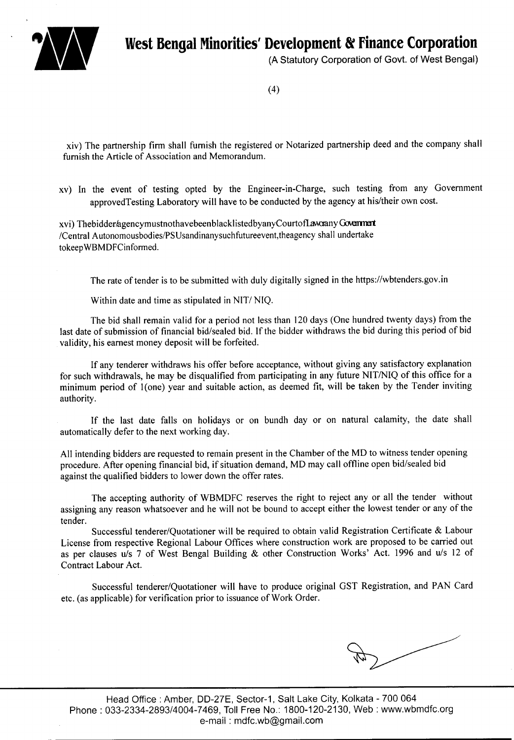

(A Statutory Corporation of Govt. of West Bengal)

(4)

xiv) The partnership firm shall furnish the registered or Notarized partnership deed and the company shall furnish the Article of Association and Memorandum.

xv) In the event of testing opted by the Engineer-in-Charge, such testing from any Government approvedTesting Laboratory will have to be conducted by the agency at his/their own cost.

xvi) Thebidder/agencymustnothavebeenblacklistedbyanyCourtofLawaanyGovenment /Central Autonomousbodies/PSUsandinanysuchfutureevent, theagency shall undertake tokeepWBMDFCinformed.

The rate of tender is to be submitted with duly digitally signed in the https://wbtenders.gov.in

Within date and time as stipulated in NIT/ NIQ.

The bid shall remain valid for a period not less than 120 days (One hundred twenty days) from the last date of submission of financial bid/sealed bid. If the bidder withdraws the bid during this period of bid validity, his earnest money deposit will be forfeited.

If any tenderer withdraws his offer before acceptance, without giving any satisfactory explanation for such withdrawals, he may be disqualified from participating in any future NIT/NIQ of this office for a minimum period of 1(one) year and suitable action, as deemed fit, will be taken by the Tender inviting authority.

If the last date falls on holidays or on bundh day or on natural calamity, the date shall automatically defer to the next working day.

All intending bidders are requested to remain present in the Chamber of the MD to witness tender opening procedure. After opening financial bid, if situation demand, MD may call offline open bid/sealed bid against the qualified bidders to lower down the offer rates.

The accepting authority of WBMDFC reserves the right to reject any or all the tender without assigning any reason whatsoever and he will not be bound to accept either the lowest tender or any of the tender.

Successful tenderer/Quotationer will be required to obtain valid Registration Certificate & Labour License from respective Regional Labour Offices where construction work are proposed to be carried out as per clauses u/s 7 of West Bengal Building & other Construction Works' Act. 1996 and u/s 12 of Contract Labour Act.

Successful tenderer/Quotationer will have to produce original GST Registration, and PAN Card etc. (as applicable) for verification prior to issuance of Work Order.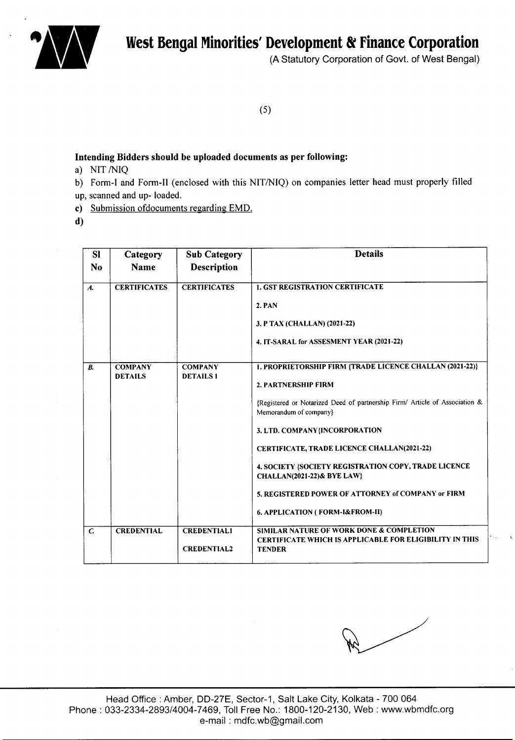



(A Statutory Corporation of Govt. of West Bengal)

(5)

#### Intending Bidders should be uploaded documents as per following:

- a) NIT /NIQ
- b) Form-I and Form-II (enclosed with this NIT/NIQ) on companies letter head must properly filled up, scanned and up- loaded.
- c) Submission ofdocuments regarding EMD.
- d)

| <b>SI</b>          | Category            | <b>Sub Category</b> | <b>Details</b>                                                                                        |
|--------------------|---------------------|---------------------|-------------------------------------------------------------------------------------------------------|
| N <sub>o</sub>     | Name                | <b>Description</b>  |                                                                                                       |
| $\boldsymbol{A}$ . | <b>CERTIFICATES</b> | <b>CERTIFICATES</b> | <b>1. GST REGISTRATION CERTIFICATE</b>                                                                |
|                    |                     |                     | 2. PAN                                                                                                |
|                    |                     |                     | 3. P TAX (CHALLAN) (2021-22)                                                                          |
|                    |                     |                     | 4. IT-SARAL for ASSESMENT YEAR (2021-22)                                                              |
| В.                 | <b>COMPANY</b>      | <b>COMPANY</b>      | 1. PROPRIETORSHIP FIRM {TRADE LICENCE CHALLAN (2021-22)}                                              |
|                    | <b>DETAILS</b>      | <b>DETAILS1</b>     | 2. PARTNERSHIP FIRM                                                                                   |
|                    |                     |                     | {Registered or Notarized Deed of partnership Firm/ Article of Association &<br>Memorandum of company} |
|                    |                     |                     | 3. LTD. COMPANY{INCORPORATION                                                                         |
|                    |                     |                     | <b>CERTIFICATE, TRADE LICENCE CHALLAN(2021-22)</b>                                                    |
|                    |                     |                     | 4. SOCIETY (SOCIETY REGISTRATION COPY, TRADE LICENCE<br><b>CHALLAN(2021-22)&amp; BYE LAW}</b>         |
|                    |                     |                     | 5. REGISTERED POWER OF ATTORNEY of COMPANY or FIRM                                                    |
|                    |                     |                     | 6. APPLICATION (FORM-I&FROM-II)                                                                       |
| $\mathcal{C}$      | <b>CREDENTIAL</b>   | <b>CREDENTIAL1</b>  | SIMILAR NATURE OF WORK DONE & COMPLETION                                                              |
|                    |                     | <b>CREDENTIAL2</b>  | <b>CERTIFICATE WHICH IS APPLICABLE FOR ELIGIBILITY IN THIS</b><br><b>TENDER</b>                       |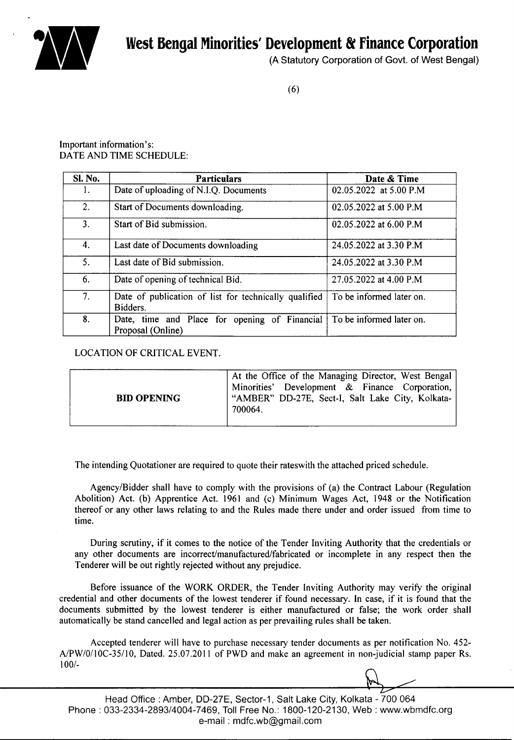



(A Statutory Corporation of Govt. of West Bengal)

# Important information's: DATE AND TIME SCHEDULE:

| Sl. No.        | <b>Particulars</b>                                                 | Date & Time              |
|----------------|--------------------------------------------------------------------|--------------------------|
| 1.             | Date of uploading of N.I.Q. Documents                              | 02.05.2022 at 5.00 P.M   |
| 2.             | Start of Documents downloading.                                    | 02.05.2022 at 5.00 P.M   |
| 3.             | Start of Bid submission.                                           | 02.05.2022 at 6.00 P.M   |
| 4.             | Last date of Documents downloading                                 | 24.05.2022 at 3.30 P.M   |
| 5.             | Last date of Bid submission.                                       | 24.05.2022 at 3.30 P.M   |
| 6.             | Date of opening of technical Bid.                                  | 27.05.2022 at 4.00 P.M   |
| 7 <sub>1</sub> | Date of publication of list for technically qualified<br>Bidders.  | To be informed later on. |
| 8.             | Date, time and Place for opening of Financial<br>Proposal (Online) | To be informed later on. |

# LOCATION OF CRITICAL EVENT.

| 700064. | <b>BID OPENING</b> | At the Office of the Managing Director, West Bengal<br>Minorities' Development & Finance Corporation,<br>"AMBER" DD-27E, Sect-I, Salt Lake City, Kolkata- |
|---------|--------------------|-----------------------------------------------------------------------------------------------------------------------------------------------------------|
|---------|--------------------|-----------------------------------------------------------------------------------------------------------------------------------------------------------|

The intending Quotationer are required to quote their rateswith the attached priced schedule.

Agency/Bidder shall have to comply with the provisions of (a) the Contract Labour (Regulation Abolition) Act. (b) Apprentice Act. 1961 and (c) Minimum Wages Act, 1948 or the Notification thereof or any other laws relating to and the Rules made there under and order issued from time to time.

During scrutiny, if it comes to the notice of the Tender Inviting Authority that the credentials or any other documents are incorrect/manufactured/fabricated or incomplete in any respect then the Tenderer will be out rightly rejected without any prejudice.

Before issuance of the WORK ORDER, the Tender Inviting Authority may verify the original credential and other documents of the lowest tenderer if found necessary. In case, if it is found that the documents submitted by the lowest tenderer is either manufactured or false; the work order shall automatically be stand cancelled and legal action as per prevailing rules shall be taken.

Accepted tenderer will have to purchase necessary tender documents as per notification No. 452- A/PW/01l0C-351l0, Dated. 25.07.2011 of PWD and make an agreement in non-judicial stamp paper Rs. 100/-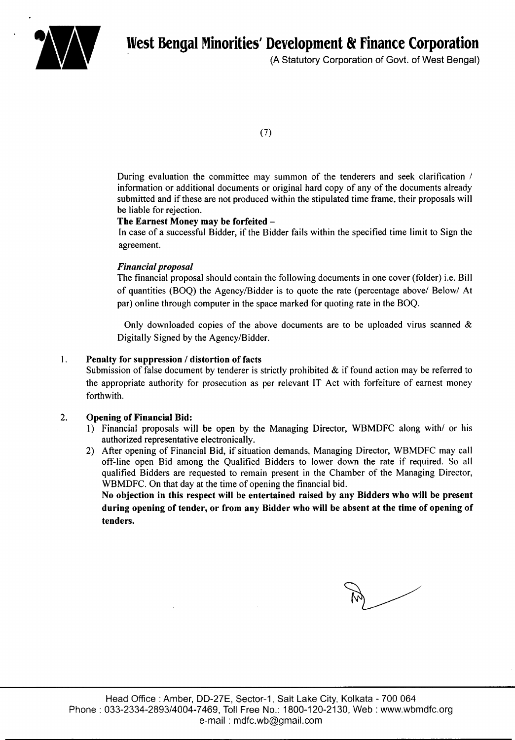

(A Statutory Corporation of Govt. of West Bengal)

(7)

During evaluation the committee may summon of the tenderers and seek clarification / information or additional documents or original hard copy of any of the documents already submitted and if these are not produced within the stipulated time frame, their proposals will be liable for rejection.

#### The Earnest Money may be forfeited -

In case of a successful Bidder, if the Bidder fails within the specified time limit to Sign the agreement.

#### *Financial proposal*

The financial proposal should contain the following documents in one cover (folder) i.e. Bill of quantities (BOQ) the Agency/Bidder is to quote the rate (percentage above/ Below/ At par) online through computer in the space marked for quoting rate in the BOQ.

Only downloaded copies of the above documents are to be uploaded virus scanned  $\&$ Digitally Signed by the Agency/Bidder.

#### 1. Penalty for suppression / distortion of facts

Submission of false document by tenderer is strictly prohibited  $\&$  if found action may be referred to the appropriate authority for prosecution as per relevant IT Act with forfeiture of earnest money forthwith.

#### 2. Opening of Financial Bid:

- 1) Financial proposals will be open by the Managing Director, WBMDFC along with/ or his authorized representative electronically.
- 2) After opening of Financial Bid, if situation demands, Managing Director, WBMDFC may call off-line open Bid among the Qualified Bidders to lower down the rate if required. So all qualified Bidders are requested to remain present in the Chamber of the Managing Director, WBMDFC. On that day at the time of opening the financial bid.

No objection in this respect will be entertained raised by any Bidders who will be present during opening of tender, or from any Bidder who will be absent at the time of opening of tenders.

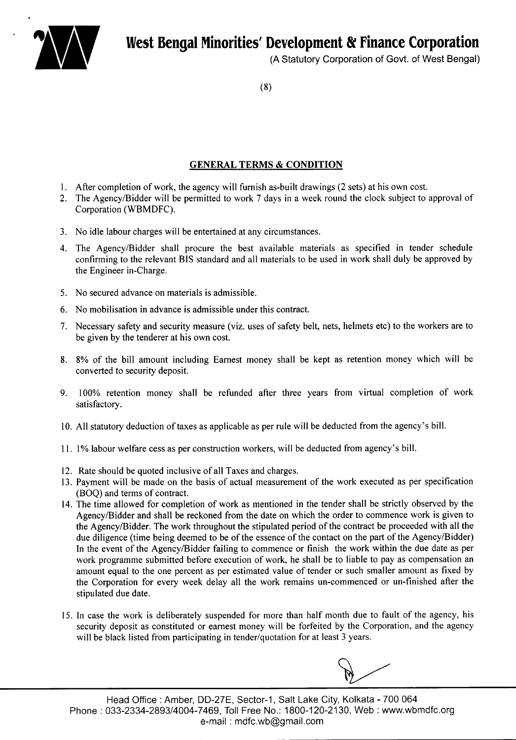

(A Statutory Corporation of Govt. of West Bengal)

(8)

# GENERAL TERMS & CONDITION

- 1. After completion of work, the agency will furnish as-built drawings (2 sets) at his own cost.
- 2. The Agency/Bidder will be permitted to work 7 days in a week round the clock subject to approval of Corporation (WBMDFC).
- 3. No idle labour charges will be entertained at any circumstances.
- 4. The Agency/Bidder shall procure the best available materials as specified in tender schedule confirming to the relevant BIS standard and all materials to be used in work shall duly be approved by the Engineer in-Charge.
- 5. No secured advance on materials is admissible.
- 6. No mobilisation in advance is admissible under this contract.
- 7. Necessary safety and security measure (viz. uses of safety belt, nets, helmets etc) to the workers are to be given by the tenderer at his own cost.
- 8. 8% of the bill amount including Earnest money shall be kept as retention money which will be converted to security deposit.
- 9. 100% retention money shall be refunded after three years from virtual completion of work satisfactory.
- 10. All statutory deduction of taxes as applicable as per rule will be deducted from the agency's bill.
- 11. 1% labour welfare cess as per construction workers, will be deducted from agency's bill.
- 12. Rate should be quoted inclusive of all Taxes and charges.
- 13. Payment will be made on the basis of actual measurement of the work executed as per specification (BOQ) and terms of contract.
- 14. The time allowed for completion of work as mentioned in the tender shall be strictly observed by the AgencylBidder and shall be reckoned from the date on which the order to commence work is given to the AgencylBidder. The work throughout the stipulated period of the contract be proceeded with all the due diligence (time being deemed to be of the essence of the contact on the part of the Agency/Bidder) In the event of the Agency/Bidder failing to commence or finish the work within the due date as per work programme submitted before execution of work, he shall be to liable to pay as compensation an amount equal to the one percent as per estimated value of tender or such smaller amount as fixed by the Corporation for every week delay all the work remains un-commenced or un-finished after the stipulated due date.
- 15. In case the work is deliberately suspended for more than half month due to fault of the agency, his security deposit as constituted or earnest money will be forfeited by the Corporation, and the agency will be black listed from participating in tender/quotation for at least 3 years.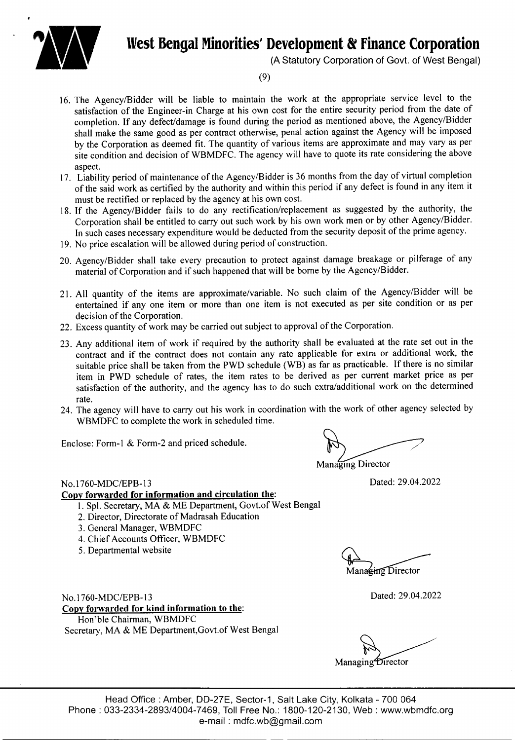

#### (A Statutory Corporation of Govt. of West Bengal)

(9)

- 16. The AgencylBidder will be liable to maintain the work at the appropriate service level to the satisfaction of the Engineer-in Charge at his own cost for the entire security period from the date of completion. If any defect/damage is found during the period as mentioned above, the Agency/Bidder shall make the same good as per contract otherwise, penal action against the Agency will be imposed by the Corporation as deemed fit. The quantity of various items are approximate and may vary as per site condition and decision of WBMDFC. The agency will have to quote its rate considering the above aspect.
- 17. Liability period of maintenance of the Agency/Bidder is 36 months from the day of virtual completion of the said work as certified by the authority and within this period if any defect is found in any item it must be rectified or replaced by the agency at his own cost.
- 18. If the Agency/Bidder fails to do any rectification/replacement as suggested by the authority, the Corporation shall be entitled to carry out such work by his own work men or by other Agency/Bidder. In such cases necessary expenditure would be deducted from the security deposit of the prime agency.
- 19. No price escalation will be allowed during period of construction.
- 20. Agency/Bidder shall take every precaution to protect against damage breakage or pilferage of any material of Corporation and if such happened that will be borne by the Agency/Bidder.
- 21. All quantity of the items are approximate/variable. No such claim of the AgencylBidder will be entertained if anyone item or more than one item is not executed as per site condition or as per decision of the Corporation.
- 22. Excess quantity of work may be carried out subject to approval of the Corporation.
- 23. Any additional item of work if required by the authority shall be evaluated at the rate set out in the contract and if the contract does not contain any rate applicable for extra or additional work, the suitable price shall be taken from the PWD schedule (WB) as far as practicable. If there is no similar item in PWD schedule of rates, the item rates to be derived as per current market price as per satisfaction of the authority, and the agency has to do such extra/additional work on the determined rate.
- 24. The agency will have to carry out his work in coordination with the work of other agency selected by WBMDFC to complete the work in scheduled time.

Enclose: Form-l & Form-2 and priced schedule.

Managing Director

Dated: 29.04.2022

#### No.1760-MDC/EPB-13

### **Copy forwarded for information and circulation** the:

- 1. Spl. Secretary, MA & ME Department, Govt.of West Bengal
- 2. Director, Directorate of Madrasah Education
- 3. General Manager, WBMDFC
- 4. Chief Accounts Officer, WBMDFC
- 5. Departmental website

Managing Director

No.1 760-MDC/EPB-13 **Copy forwarded for kind information to** the: Hon'ble Chairman, WBMDFC Secretary, MA & ME Department, Govt.of West Bengal

Dated: 29.04.2022

Managing Director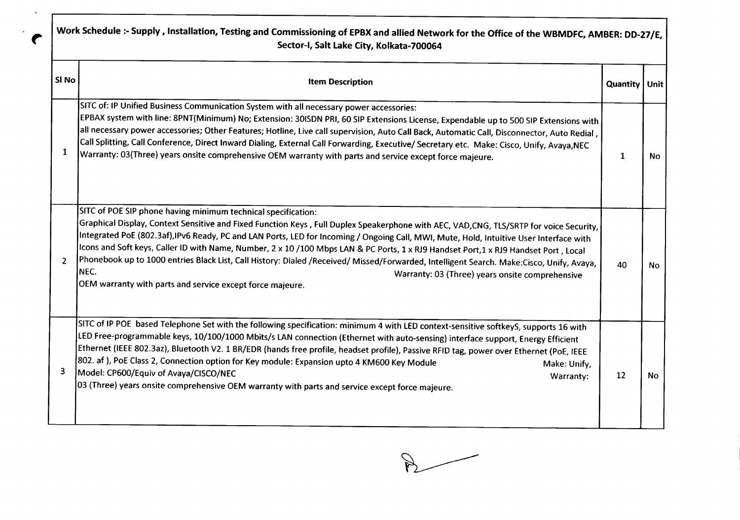| Si No          | <b>Item Description</b>                                                                                                                                                                                                                                                                                                                                                                                                                                                                                                                                                                                                                                                                                                                                      | Quantity   Unit |  |
|----------------|--------------------------------------------------------------------------------------------------------------------------------------------------------------------------------------------------------------------------------------------------------------------------------------------------------------------------------------------------------------------------------------------------------------------------------------------------------------------------------------------------------------------------------------------------------------------------------------------------------------------------------------------------------------------------------------------------------------------------------------------------------------|-----------------|--|
| 1              | SITC of: IP Unified Business Communication System with all necessary power accessories:<br>EPBAX system with line: 8PNT(Minimum) No; Extension: 30ISDN PRI, 60 SIP Extensions License, Expendable up to 500 SIP Extensions with<br> all necessary power accessories; Other Features; Hotline, Live call supervision, Auto Call Back, Automatic Call, Disconnector, Auto Redial ,<br>Call Splitting, Call Conference, Direct Inward Dialing, External Call Forwarding, Executive/ Secretary etc. Make: Cisco, Unify, Avaya, NEC<br>Warranty: 03(Three) years onsite comprehensive OEM warranty with parts and service except force majeure.                                                                                                                   | 1               |  |
| $\overline{2}$ | SITC of POE SIP phone having minimum technical specification:<br>Graphical Display, Context Sensitive and Fixed Function Keys , Full Duplex Speakerphone with AEC, VAD,CNG, TLS/SRTP for voice Security,<br>Integrated PoE (802.3af),IPv6 Ready, PC and LAN Ports, LED for Incoming / Ongoing Call, MWI, Mute, Hold, Intuitive User Interface with<br>Icons and Soft keys, Caller ID with Name, Number, 2 x 10/100 Mbps LAN & PC Ports, 1 x RJ9 Handset Port,1 x RJ9 Handset Port, Local<br>Phonebook up to 1000 entries Black List, Call History: Dialed /Received/ Missed/Forwarded, Intelligent Search. Make:Cisco, Unify, Avaya,<br>NEC.<br>Warranty: 03 (Three) years onsite comprehensive<br>OEM warranty with parts and service except force majeure. | 40              |  |
| 3              | SITC of IP POE based Telephone Set with the following specification: minimum 4 with LED context-sensitive softkeyS, supports 16 with<br>LED Free-programmable keys, 10/100/1000 Mbits/s LAN connection (Ethernet with auto-sensing) interface support, Energy Efficient<br>Ethernet (IEEE 802.3az), Bluetooth V2. 1 BR/EDR (hands free profile, headset profile), Passive RFID tag, power over Ethernet (PoE, IEEE<br>802. af ), PoE Class 2, Connection option for Key module: Expansion upto 4 KM600 Key Module<br>Make: Unify,<br>Model: CP600/Equiv of Avaya/CISCO/NEC<br>Warranty:<br>03 (Three) years onsite comprehensive OEM warranty with parts and service except force majeure.                                                                   | 12              |  |

 $\langle \bullet \rangle$ 

 $R$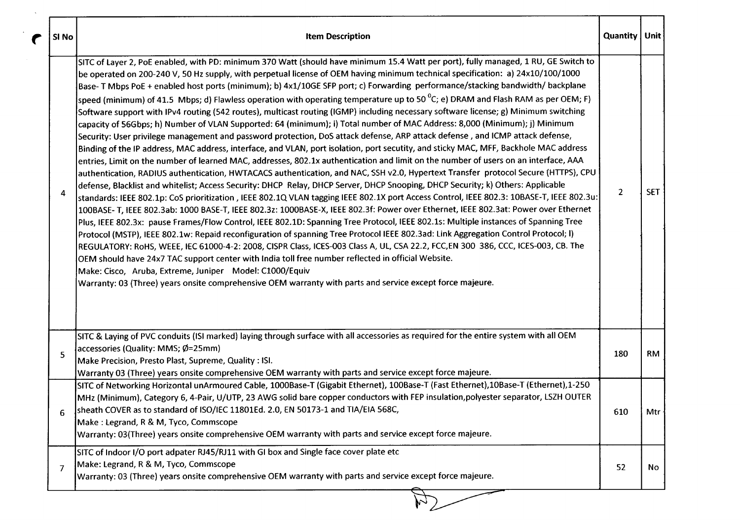| SI No | <b>Item Description</b>                                                                                                                                                                                                                                                                                                                                                                                                                                                                                                                                                                                                                                                                                                                                                                                                                                                                                                                                                                                                                                                                                                                                                                                                                                                                                                                                                                                                                                                                                                                                                                                                                                                                                                                                                                                                                                                                                                                                                                                                                                                                                                                                                                                                                                                                                                                                                                                                                                                                                     | Quantity   Unit |                  |
|-------|-------------------------------------------------------------------------------------------------------------------------------------------------------------------------------------------------------------------------------------------------------------------------------------------------------------------------------------------------------------------------------------------------------------------------------------------------------------------------------------------------------------------------------------------------------------------------------------------------------------------------------------------------------------------------------------------------------------------------------------------------------------------------------------------------------------------------------------------------------------------------------------------------------------------------------------------------------------------------------------------------------------------------------------------------------------------------------------------------------------------------------------------------------------------------------------------------------------------------------------------------------------------------------------------------------------------------------------------------------------------------------------------------------------------------------------------------------------------------------------------------------------------------------------------------------------------------------------------------------------------------------------------------------------------------------------------------------------------------------------------------------------------------------------------------------------------------------------------------------------------------------------------------------------------------------------------------------------------------------------------------------------------------------------------------------------------------------------------------------------------------------------------------------------------------------------------------------------------------------------------------------------------------------------------------------------------------------------------------------------------------------------------------------------------------------------------------------------------------------------------------------------|-----------------|------------------|
| 4     | SITC of Layer 2, PoE enabled, with PD: minimum 370 Watt (should have minimum 15.4 Watt per port), fully managed, 1 RU, GE Switch to<br>be operated on 200-240 V, 50 Hz supply, with perpetual license of OEM having minimum technical specification: a) 24x10/100/1000<br>Base- T Mbps PoE + enabled host ports (minimum); b) 4x1/10GE SFP port; c) Forwarding performance/stacking bandwidth/ backplane<br>speed (minimum) of 41.5 Mbps; d) Flawless operation with operating temperature up to 50 <sup>o</sup> C; e) DRAM and Flash RAM as per OEM; F)<br>Software support with IPv4 routing (542 routes), multicast routing (IGMP) including necessary software license; g) Minimum switching<br>capacity of 56Gbps; h) Number of VLAN Supported: 64 (minimum); i) Total number of MAC Address: 8,000 (Minimum); j) Minimum<br>Security: User privilege management and password protection, DoS attack defense, ARP attack defense, and ICMP attack defense,<br>Binding of the IP address, MAC address, interface, and VLAN, port isolation, port secutity, and sticky MAC, MFF, Backhole MAC address<br>entries, Limit on the number of learned MAC, addresses, 802.1x authentication and limit on the number of users on an interface, AAA<br>authentication, RADIUS authentication, HWTACACS authentication, and NAC, SSH v2.0, Hypertext Transfer protocol Secure (HTTPS), CPU<br>defense, Blacklist and whitelist; Access Security: DHCP Relay, DHCP Server, DHCP Snooping, DHCP Security; k) Others: Applicable<br> standards: IEEE 802.1p: CoS prioritization , IEEE 802.1Q VLAN tagging IEEE 802.1X port Access Control, IEEE 802.3: 10BASE-T, IEEE 802.3u:<br>100BASE-T, IEEE 802.3ab: 1000 BASE-T, IEEE 802.3z: 1000BASE-X, IEEE 802.3f: Power over Ethernet, IEEE 802.3at: Power over Ethernet<br>Plus, IEEE 802.3x: pause Frames/Flow Control, IEEE 802.1D: Spanning Tree Protocol, IEEE 802.1s: Multiple instances of Spanning Tree<br>Protocol (MSTP), IEEE 802.1w: Repaid reconfiguration of spanning Tree Protocol IEEE 802.3ad: Link Aggregation Control Protocol; I)<br>REGULATORY: RoHS, WEEE, IEC 61000-4-2: 2008, CISPR Class, ICES-003 Class A, UL, CSA 22.2, FCC,EN 300 386, CCC, ICES-003, CB. The<br>OEM should have 24x7 TAC support center with India toll free number reflected in official Website.<br>Make: Cisco, Aruba, Extreme, Juniper Model: C1000/Equiv<br>Warranty: 03 (Three) years onsite comprehensive OEM warranty with parts and service except force majeure. | $\overline{2}$  | <b>SET</b>       |
| 5     | SITC & Laying of PVC conduits (ISI marked) laying through surface with all accessories as required for the entire system with all OEM<br>accessories (Quality: MMS; Ø=25mm)<br>Make Precision, Presto Plast, Supreme, Quality: ISI.<br>Warranty 03 (Three) years onsite comprehensive OEM warranty with parts and service except force majeure.                                                                                                                                                                                                                                                                                                                                                                                                                                                                                                                                                                                                                                                                                                                                                                                                                                                                                                                                                                                                                                                                                                                                                                                                                                                                                                                                                                                                                                                                                                                                                                                                                                                                                                                                                                                                                                                                                                                                                                                                                                                                                                                                                             | 180             | <b>RM</b>        |
| 6     | SITC of Networking Horizontal unArmoured Cable, 1000Base-T (Gigabit Ethernet), 100Base-T (Fast Ethernet),10Base-T (Ethernet),1-250<br>MHz (Minimum), Category 6, 4-Pair, U/UTP, 23 AWG solid bare copper conductors with FEP insulation,polyester separator, LSZH OUTER<br>sheath COVER as to standard of ISO/IEC 11801Ed. 2.0, EN 50173-1 and TIA/EIA 568C,<br>Make: Legrand, R & M, Tyco, Commscope<br>Warranty: 03(Three) years onsite comprehensive OEM warranty with parts and service except force majeure.                                                                                                                                                                                                                                                                                                                                                                                                                                                                                                                                                                                                                                                                                                                                                                                                                                                                                                                                                                                                                                                                                                                                                                                                                                                                                                                                                                                                                                                                                                                                                                                                                                                                                                                                                                                                                                                                                                                                                                                           | 610             | Mtr <sub>1</sub> |
| 7     | SITC of Indoor I/O port adpater RJ45/RJ11 with GI box and Single face cover plate etc<br>Make: Legrand, R & M, Tyco, Commscope<br>Warranty: 03 (Three) years onsite comprehensive OEM warranty with parts and service except force majeure.                                                                                                                                                                                                                                                                                                                                                                                                                                                                                                                                                                                                                                                                                                                                                                                                                                                                                                                                                                                                                                                                                                                                                                                                                                                                                                                                                                                                                                                                                                                                                                                                                                                                                                                                                                                                                                                                                                                                                                                                                                                                                                                                                                                                                                                                 | 52              | No               |

┱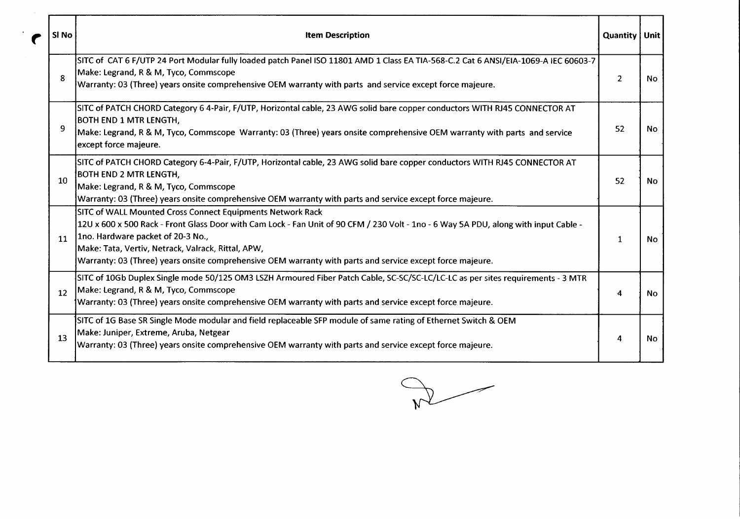| SI No           | <b>Item Description</b>                                                                                                                                                                                                                                                                                                                                                                                    | Quantity   Unit  |           |
|-----------------|------------------------------------------------------------------------------------------------------------------------------------------------------------------------------------------------------------------------------------------------------------------------------------------------------------------------------------------------------------------------------------------------------------|------------------|-----------|
| 8               | SITC of CAT 6 F/UTP 24 Port Modular fully loaded patch Panel ISO 11801 AMD 1 Class EA TIA-568-C.2 Cat 6 ANSI/EIA-1069-A IEC 60603-7<br>Make: Legrand, R & M, Tyco, Commscope<br>Warranty: 03 (Three) years onsite comprehensive OEM warranty with parts and service except force majeure.                                                                                                                  | $2^{\circ}$      | <b>No</b> |
| 9               | SITC of PATCH CHORD Category 6 4-Pair, F/UTP, Horizontal cable, 23 AWG solid bare copper conductors WITH RJ45 CONNECTOR AT<br><b>BOTH END 1 MTR LENGTH,</b><br>Make: Legrand, R & M, Tyco, Commscope Warranty: 03 (Three) years onsite comprehensive OEM warranty with parts and service<br>except force majeure.                                                                                          | 52               | <b>No</b> |
| 10 <sup>1</sup> | SITC of PATCH CHORD Category 6-4-Pair, F/UTP, Horizontal cable, 23 AWG solid bare copper conductors WITH RJ45 CONNECTOR AT<br><b>BOTH END 2 MTR LENGTH,</b><br>Make: Legrand, R & M, Tyco, Commscope<br>Warranty: 03 (Three) years onsite comprehensive OEM warranty with parts and service except force majeure.                                                                                          | 52               | No.       |
| 11              | SITC of WALL Mounted Cross Connect Equipments Network Rack<br>12U x 600 x 500 Rack - Front Glass Door with Cam Lock - Fan Unit of 90 CFM / 230 Volt - 1no - 6 Way 5A PDU, along with input Cable -<br>1no. Hardware packet of 20-3 No.,<br>Make: Tata, Vertiv, Netrack, Valrack, Rittal, APW,<br>Warranty: 03 (Three) years onsite comprehensive OEM warranty with parts and service except force majeure. | $\mathbf{1}$     | <b>No</b> |
| 12              | SITC of 10Gb Duplex Single mode 50/125 OM3 LSZH Armoured Fiber Patch Cable, SC-SC/SC-LC/LC-LC as per sites requirements - 3 MTR<br>Make: Legrand, R & M, Tyco, Commscope<br>Warranty: 03 (Three) years onsite comprehensive OEM warranty with parts and service except force majeure.                                                                                                                      | 4                | <b>No</b> |
| 13              | SITC of 1G Base SR Single Mode modular and field replaceable SFP module of same rating of Ethernet Switch & OEM<br>Make: Juniper, Extreme, Aruba, Netgear<br>Warranty: 03 (Three) years onsite comprehensive OEM warranty with parts and service except force majeure.                                                                                                                                     | $\boldsymbol{4}$ | No        |

 $R$